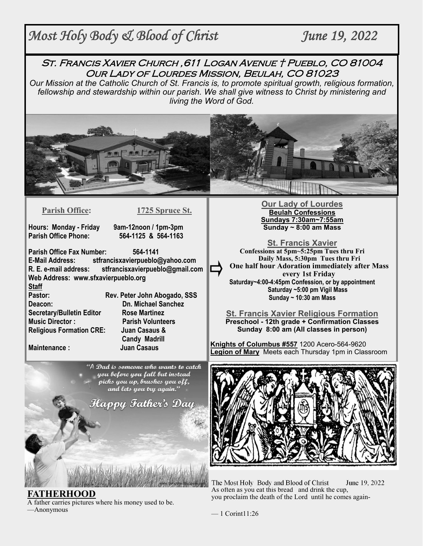# *Most Holy Body & Blood of Christ June 19, 2022*

St. Francis Xavier Church ,611 Logan Avenue † Pueblo, CO 81004 Our Lady of Lourdes Mission, Beulah, CO 81023

*Our Mission at the Catholic Church of St. Francis is, to promote spiritual growth, religious formation, fellowship and stewardship within our parish. We shall give witness to Christ by ministering and living the Word of God.* 



**Parish Office: 1725 Spruce St.** 

**Hours: Monday - Friday 9am-12noon / 1pm-3pm** 

**Parish Office Phone: 564-1125 & 564-1163**

**Parish Office Fax Number: 564-1141 E-Mail Address: stfrancisxavierpueblo@yahoo.com R. E. e-mail address: stfrancisxavierpueblo@gmail.com Web Address: www.sfxavierpueblo.org Staff** 

**Deacon: Dn. Michael Sanchez Secretary/Bulletin Editor Rose Martinez Music Director : Parish Volunteers Religious Formation CRE: Juan Casaus &** 

Pastor: Rev. Peter John Abogado, SSS  **Candy Madrill Maintenance : Juan Casaus**

> "A Dad is someone who wants to catch you before you fall but instead picks you up, brushes you off, and lets you try again."

Happy Father's Day

**FATHERHOOD** A father carries pictures where his money used to be. —Anonymous

**Our Lady of Lourdes Beulah Confessions Sundays 7:30am~7:55am Sunday ~ 8:00 am Mass** 

**St. Francis Xavier Confessions at 5pm~5:25pm Tues thru Fri Daily Mass, 5:30pm Tues thru Fri One half hour Adoration immediately after Mass every 1st Friday Saturday~4:00-4:45pm Confession, or by appointment Saturday ~5:00 pm Vigil Mass Sunday ~ 10:30 am Mass** 

**St. Francis Xavier Religious Formation Preschool - 12th grade + Confirmation Classes Sunday 8:00 am (All classes in person)** 

**Knights of Columbus #557** 1200 Acero-564-9620 **Legion of Mary** Meets each Thursday 1pm in Classroom



The Most Holy Body and Blood of Christ June 19, 2022 As often as you eat this bread and drink the cup, you proclaim the death of the Lord until he comes again-

 $-1$  Corint $11:26$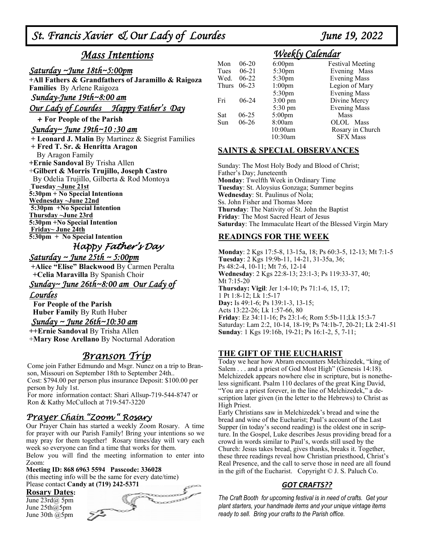*St. Francis Xavier & Our Lady of Lourdes June 19, 2022* 

# *Mass Intentions*

#### *Saturday ~June 18th~5:00pm*

**+All Fathers & Grandfathers of Jaramillo & Raigoza Families** By Arlene Raigoza *Sunday-June 19th~8:00 am* 

*Our Lady of Lourdes Happy Father's Day*

#### + **For People of the Parish**

#### *Sunday~ June 19th~10 :30 am*

 **+ Leonard J. Malin** By Martinez & Siegrist Families **+ Fred T. Sr. & Henritta Aragon**  By Aragon Family **+Ernie Sandoval** By Trisha Allen +**Gilbert & Morris Trujillo, Joseph Castro** By Odelia Trujillo, Gilberta & Rod Montoya  **Tuesday ~June 21st 5:30pm + No Special Intentionn Wednesday ~June 22nd 5:30pm +No Special Intention Thursday ~June 23rd 5:30pm +No Special Intention Friday~ June 24th 5:30pm + No Special Intention**

# Happy Father's Day

### *Saturday ~ June 25th ~ 5:00pm*

 **+Alice "Elise" Blackwood** By Carmen Peralta  **+Celia Maravilla** By Spanish Choir

#### *Sunday~ June 26th~8:00 am Our Lady of*

#### *Lourdes*

**For People of the Parish Huber Family** By Ruth Huber

#### *Sunday ~ June 26th~10:30 am*

**++Ernie Sandoval** By Trisha Allen +**Mary Rose Arellano** By Nocturnal Adoration

# Branson Trip

Come join Father Edmundo and Msgr. Nunez on a trip to Branson, Missouri on September 18th to September 24th.. Cost: \$794.00 per person plus insurance Deposit: \$100.00 per person by July 1st.

For more information contact: Shari Allsup-719-544-8747 or Ron & Kathy McCulloch at 719-547-3220

## Prayer Chain "Zoom " Rosary

Our Prayer Chain has started a weekly Zoom Rosary. A time for prayer with our Parish Family! Bring your intentions so we may pray for them together! Rosary times/day will vary each week so everyone can find a time that works for them.

Below you will find the meeting information to enter into Zoom:

**Meeting ID: 868 6963 5594 Passcode: 336028**  (this meeting info will be the same for every date/time)

#### **Rosary Dates:**

June 23rd@ 5pm June 25th@5pm June 30th @5pm



# *Weekly Calendar*

| Mon   | $06-20$   | $6:00$ pm         | <b>Festival Meeting</b> |
|-------|-----------|-------------------|-------------------------|
| Tues  | $06-21$   | 5:30pm            | Evening Mass            |
| Wed.  | $06-22$   | 5:30pm            | <b>Evening Mass</b>     |
| Thurs | $06-23$   | $1:00$ pm         | Legion of Mary          |
|       |           | 5:30pm            | <b>Evening Mass</b>     |
| Fri   | $06-24$   | $3:00 \text{ pm}$ | Divine Mercy            |
|       |           | 5:30 pm           | <b>Evening Mass</b>     |
| Sat   | $06 - 25$ | $5:00$ pm         | Mass                    |
| Sun   | $06-26$   | 8:00am            | OLOL<br><b>Mass</b>     |
|       |           | 10:00am           | Rosary in Church        |
|       |           | 10:30am           | <b>SFX Mass</b>         |

#### **SAINTS & SPECIAL OBSERVANCES**

Sunday: The Most Holy Body and Blood of Christ; Father's Day; Juneteenth **Monday**: Twelfth Week in Ordinary Time **Tuesday**: St. Aloysius Gonzaga; Summer begins **Wednesday**: St. Paulinus of Nola; Ss. John Fisher and Thomas More **Thursday**: The Nativity of St. John the Baptist **Friday**: The Most Sacred Heart of Jesus **Saturday**: The Immaculate Heart of the Blessed Virgin Mary

#### **READINGS FOR THE WEEK**

**Monday**: 2 Kgs 17:5-8, 13-15a, 18; Ps 60:3-5, 12-13; Mt 7:1-5 **Tuesday**: 2 Kgs 19:9b-11, 14-21, 31-35a, 36; Ps 48:2-4, 10-11; Mt 7:6, 12-14 **Wednesday**: 2 Kgs 22:8-13; 23:1-3; Ps 119:33-37, 40; Mt 7:15-20 **Thursday: Vigil**: Jer 1:4-10; Ps 71:1-6, 15, 17; 1 Pt 1:8-12; Lk 1:5-17 **Day:** Is 49:1-6; Ps 139:1-3, 13-15; Acts 13:22-26; Lk 1:57-66, 80 **Friday**: Ez 34:11-16; Ps 23:1-6; Rom 5:5b-11;Lk 15:3-7 Saturday: Lam 2:2, 10-14, 18-19; Ps 74:1b-7, 20-21; Lk 2:41-51 **Sunday**: 1 Kgs 19:16b, 19-21; Ps 16:1-2, 5, 7-11;

#### **THE GIFT OF THE EUCHARIST**

Today we hear how Abram encounters Melchizedek, "king of Salem . . . and a priest of God Most High" (Genesis 14:18). Melchizedek appears nowhere else in scripture, but is nonetheless significant. Psalm 110 declares of the great King David, "You are a priest forever, in the line of Melchizedek," a description later given (in the letter to the Hebrews) to Christ as High Priest.

Early Christians saw in Melchizedek's bread and wine the bread and wine of the Eucharist; Paul's account of the Last Supper (in today's second reading) is the oldest one in scripture. In the Gospel, Luke describes Jesus providing bread for a crowd in words similar to Paul's, words still used by the Church: Jesus takes bread, gives thanks, breaks it. Together, these three readings reveal how Christian priesthood, Christ's Real Presence, and the call to serve those in need are all found in the gift of the Eucharist. Copyright © J. S. Paluch Co.

#### *GOT CRAFTS??*

*The Craft Booth for upcoming festival is in need of crafts. Get your plant starters, your handmade items and your unique vintage items ready to sell. Bring your crafts to the Parish office.*